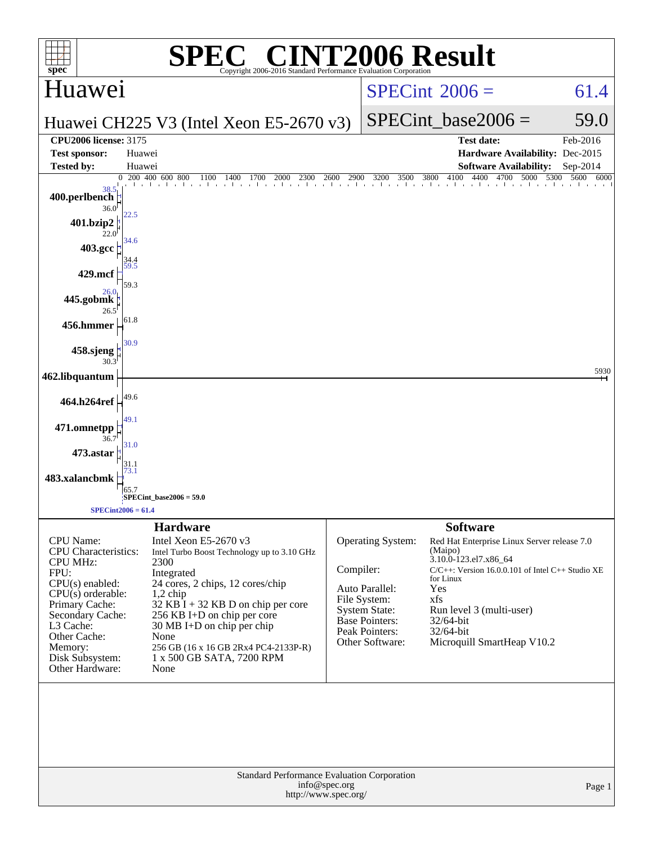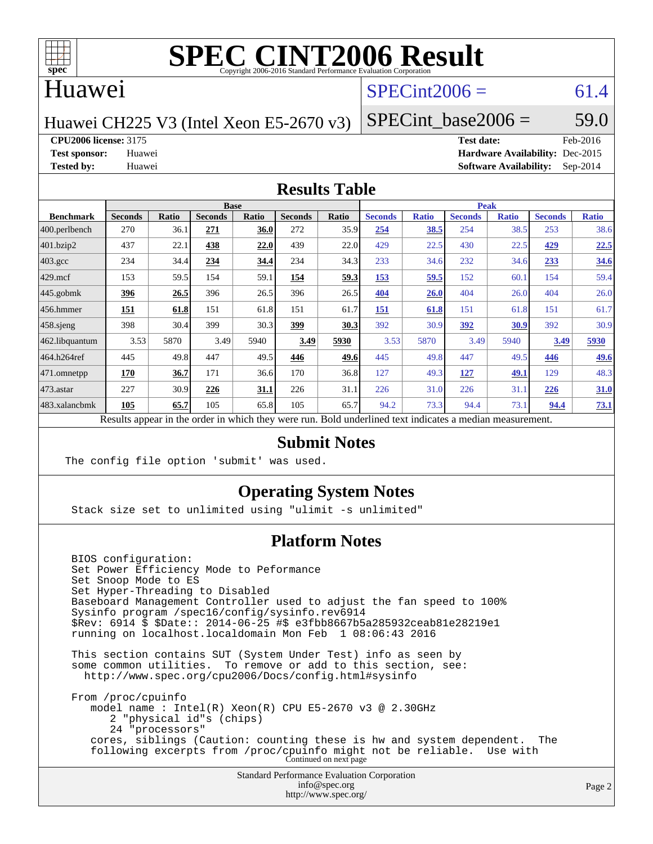

#### Huawei

### $SPECint2006 = 61.4$  $SPECint2006 = 61.4$

Huawei CH225 V3 (Intel Xeon E5-2670 v3)

SPECint base2006 =  $59.0$ 

**[CPU2006 license:](http://www.spec.org/auto/cpu2006/Docs/result-fields.html#CPU2006license)** 3175 **[Test date:](http://www.spec.org/auto/cpu2006/Docs/result-fields.html#Testdate)** Feb-2016

**[Test sponsor:](http://www.spec.org/auto/cpu2006/Docs/result-fields.html#Testsponsor)** Huawei **[Hardware Availability:](http://www.spec.org/auto/cpu2006/Docs/result-fields.html#HardwareAvailability)** Dec-2015 **[Tested by:](http://www.spec.org/auto/cpu2006/Docs/result-fields.html#Testedby)** Huawei **[Software Availability:](http://www.spec.org/auto/cpu2006/Docs/result-fields.html#SoftwareAvailability)** Sep-2014

#### **[Results Table](http://www.spec.org/auto/cpu2006/Docs/result-fields.html#ResultsTable)**

|                                                                                                          | <b>Base</b>    |       |                |       |                |       | <b>Peak</b>    |              |                |              |                |              |
|----------------------------------------------------------------------------------------------------------|----------------|-------|----------------|-------|----------------|-------|----------------|--------------|----------------|--------------|----------------|--------------|
| <b>Benchmark</b>                                                                                         | <b>Seconds</b> | Ratio | <b>Seconds</b> | Ratio | <b>Seconds</b> | Ratio | <b>Seconds</b> | <b>Ratio</b> | <b>Seconds</b> | <b>Ratio</b> | <b>Seconds</b> | <b>Ratio</b> |
| $ 400.\text{perlbench}$                                                                                  | 270            | 36.1  | 271            | 36.0  | 272            | 35.9  | 254            | 38.5         | 254            | 38.5         | 253            | 38.6         |
| 401.bzip2                                                                                                | 437            | 22.1  | 438            | 22.0  | 439            | 22.0  | 429            | 22.5         | 430            | 22.5         | 429            | 22.5         |
| $403.\mathrm{gcc}$                                                                                       | 234            | 34.4  | 234            | 34.4  | 234            | 34.3  | 233            | 34.6         | 232            | 34.6         | 233            | 34.6         |
| $429$ mcf                                                                                                | 153            | 59.5  | 154            | 59.1  | 154            | 59.3  | 153            | 59.5         | 152            | 60.1         | 154            | 59.4         |
| $445$ .gobmk                                                                                             | 396            | 26.5  | 396            | 26.5  | 396            | 26.5  | 404            | 26.0         | 404            | 26.0         | 404            | 26.0         |
| 456.hmmer                                                                                                | 151            | 61.8  | 151            | 61.8  | 151            | 61.7  | <b>151</b>     | 61.8         | 151            | 61.8         | 151            | 61.7         |
| $458$ .sjeng                                                                                             | 398            | 30.4  | 399            | 30.3  | 399            | 30.3  | 392            | 30.9         | 392            | 30.9         | 392            | 30.9         |
| 462.libquantum                                                                                           | 3.53           | 5870  | 3.49           | 5940  | 3.49           | 5930  | 3.53           | 5870         | 3.49           | 5940         | 3.49           | 5930         |
| 464.h264ref                                                                                              | 445            | 49.8  | 447            | 49.5  | 446            | 49.6  | 445            | 49.8         | 447            | 49.5         | 446            | <u>49.6</u>  |
| $ 471$ .omnetpp                                                                                          | 170            | 36.7  | 171            | 36.6  | 170            | 36.8  | 127            | 49.3         | 127            | 49.1         | 129            | 48.3         |
| $ 473$ . astar                                                                                           | 227            | 30.9  | 226            | 31.1  | 226            | 31.1  | 226            | 31.0         | 226            | 31.1         | 226            | 31.0         |
| 483.xalancbmk                                                                                            | 105            | 65.7  | 105            | 65.8  | 105            | 65.7  | 94.2           | 73.3         | 94.4           | 73.1         | 94.4           | 73.1         |
| Results appear in the order in which they were run. Bold underlined text indicates a median measurement. |                |       |                |       |                |       |                |              |                |              |                |              |

#### **[Submit Notes](http://www.spec.org/auto/cpu2006/Docs/result-fields.html#SubmitNotes)**

The config file option 'submit' was used.

#### **[Operating System Notes](http://www.spec.org/auto/cpu2006/Docs/result-fields.html#OperatingSystemNotes)**

Stack size set to unlimited using "ulimit -s unlimited"

#### **[Platform Notes](http://www.spec.org/auto/cpu2006/Docs/result-fields.html#PlatformNotes)**

Standard Performance Evaluation Corporation [info@spec.org](mailto:info@spec.org) BIOS configuration: Set Power Efficiency Mode to Peformance Set Snoop Mode to ES Set Hyper-Threading to Disabled Baseboard Management Controller used to adjust the fan speed to 100% Sysinfo program /spec16/config/sysinfo.rev6914 \$Rev: 6914 \$ \$Date:: 2014-06-25 #\$ e3fbb8667b5a285932ceab81e28219e1 running on localhost.localdomain Mon Feb 1 08:06:43 2016 This section contains SUT (System Under Test) info as seen by some common utilities. To remove or add to this section, see: <http://www.spec.org/cpu2006/Docs/config.html#sysinfo> From /proc/cpuinfo model name : Intel(R) Xeon(R) CPU E5-2670 v3 @ 2.30GHz 2 "physical id"s (chips) 24 "processors" cores, siblings (Caution: counting these is hw and system dependent. The following excerpts from /proc/cpuinfo might not be reliable. Use with Continued on next page

<http://www.spec.org/>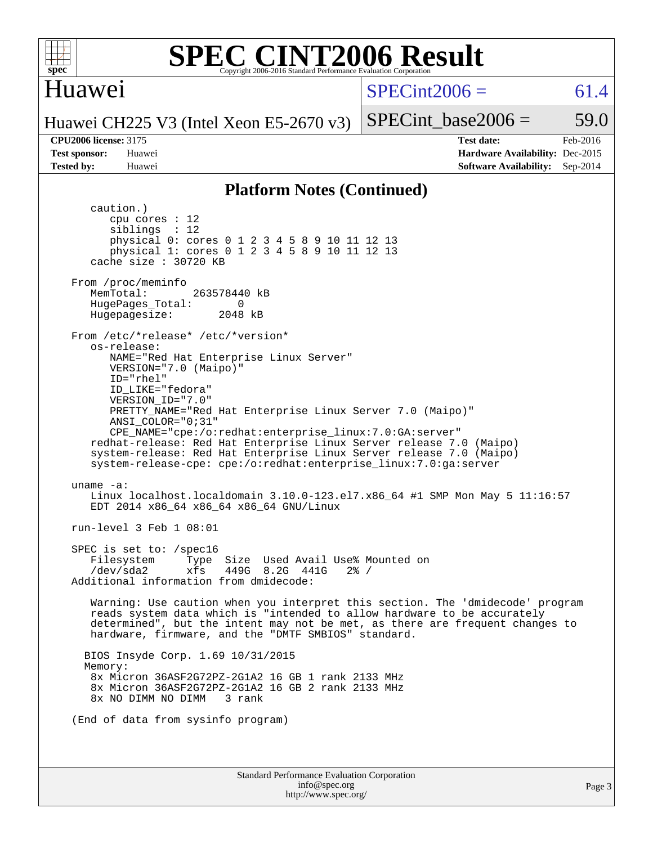

#### **[SPEC CINT2006 Result](http://www.spec.org/auto/cpu2006/Docs/result-fields.html#SPECCINT2006Result)** Copyright 2006-2016 Standard Performance Evaluation Corpor

#### Huawei

#### $SPECint2006 = 61.4$  $SPECint2006 = 61.4$

Huawei CH225 V3 (Intel Xeon E5-2670 v3)

SPECint base2006 =  $59.0$ **[CPU2006 license:](http://www.spec.org/auto/cpu2006/Docs/result-fields.html#CPU2006license)** 3175 **[Test date:](http://www.spec.org/auto/cpu2006/Docs/result-fields.html#Testdate)** Feb-2016 **[Test sponsor:](http://www.spec.org/auto/cpu2006/Docs/result-fields.html#Testsponsor)** Huawei **[Hardware Availability:](http://www.spec.org/auto/cpu2006/Docs/result-fields.html#HardwareAvailability)** Dec-2015 **[Tested by:](http://www.spec.org/auto/cpu2006/Docs/result-fields.html#Testedby)** Huawei **[Software Availability:](http://www.spec.org/auto/cpu2006/Docs/result-fields.html#SoftwareAvailability)** Sep-2014

#### **[Platform Notes \(Continued\)](http://www.spec.org/auto/cpu2006/Docs/result-fields.html#PlatformNotes)**

Standard Performance Evaluation Corporation caution.) cpu cores : 12 siblings : 12 physical 0: cores 0 1 2 3 4 5 8 9 10 11 12 13 physical 1: cores 0 1 2 3 4 5 8 9 10 11 12 13 cache size : 30720 KB From /proc/meminfo MemTotal: 263578440 kB HugePages\_Total: 0<br>Hugepagesize: 2048 kB Hugepagesize: From /etc/\*release\* /etc/\*version\* os-release: NAME="Red Hat Enterprise Linux Server" VERSION="7.0 (Maipo)" ID="rhel" ID\_LIKE="fedora" VERSION\_ID="7.0" PRETTY\_NAME="Red Hat Enterprise Linux Server 7.0 (Maipo)" ANSI\_COLOR="0;31" CPE\_NAME="cpe:/o:redhat:enterprise\_linux:7.0:GA:server" redhat-release: Red Hat Enterprise Linux Server release 7.0 (Maipo) system-release: Red Hat Enterprise Linux Server release 7.0 (Maipo) system-release-cpe: cpe:/o:redhat:enterprise\_linux:7.0:ga:server uname -a: Linux localhost.localdomain 3.10.0-123.el7.x86\_64 #1 SMP Mon May 5 11:16:57 EDT 2014 x86\_64 x86\_64 x86\_64 GNU/Linux run-level 3 Feb 1 08:01 SPEC is set to: /spec16 Filesystem Type Size Used Avail Use% Mounted on /dev/sda2 xfs 449G 8.2G 441G 2% / Additional information from dmidecode: Warning: Use caution when you interpret this section. The 'dmidecode' program reads system data which is "intended to allow hardware to be accurately determined", but the intent may not be met, as there are frequent changes to hardware, firmware, and the "DMTF SMBIOS" standard. BIOS Insyde Corp. 1.69 10/31/2015 Memory: 8x Micron 36ASF2G72PZ-2G1A2 16 GB 1 rank 2133 MHz 8x Micron 36ASF2G72PZ-2G1A2 16 GB 2 rank 2133 MHz 8x NO DIMM NO DIMM 3 rank (End of data from sysinfo program)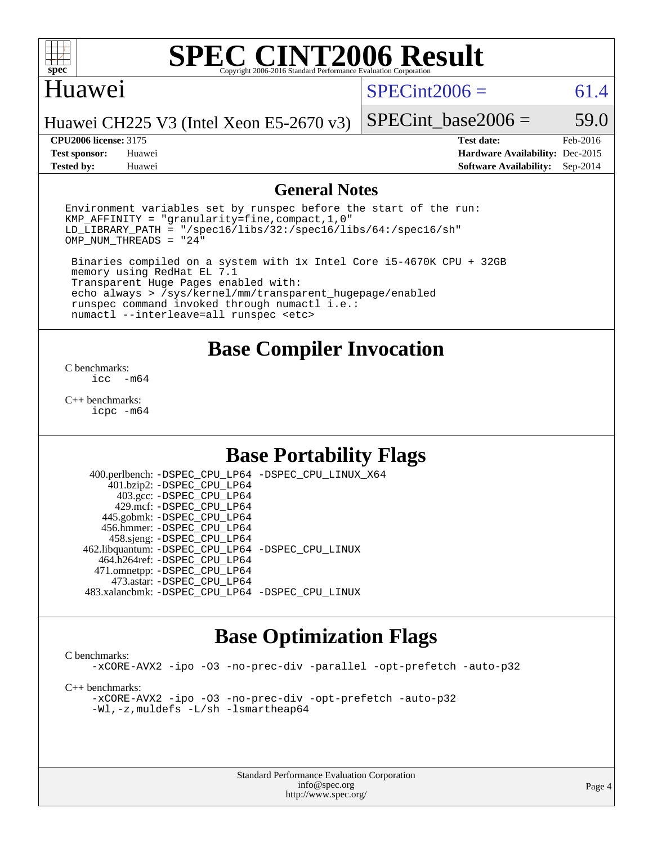

#### Huawei

 $SPECint2006 = 61.4$  $SPECint2006 = 61.4$ 

Huawei CH225 V3 (Intel Xeon E5-2670 v3)

**[Test sponsor:](http://www.spec.org/auto/cpu2006/Docs/result-fields.html#Testsponsor)** Huawei **[Hardware Availability:](http://www.spec.org/auto/cpu2006/Docs/result-fields.html#HardwareAvailability)** Dec-2015 **[Tested by:](http://www.spec.org/auto/cpu2006/Docs/result-fields.html#Testedby)** Huawei **[Software Availability:](http://www.spec.org/auto/cpu2006/Docs/result-fields.html#SoftwareAvailability)** Sep-2014

SPECint base2006 =  $59.0$ **[CPU2006 license:](http://www.spec.org/auto/cpu2006/Docs/result-fields.html#CPU2006license)** 3175 **[Test date:](http://www.spec.org/auto/cpu2006/Docs/result-fields.html#Testdate)** Feb-2016

#### **[General Notes](http://www.spec.org/auto/cpu2006/Docs/result-fields.html#GeneralNotes)**

Environment variables set by runspec before the start of the run: KMP\_AFFINITY = "granularity=fine,compact,1,0" LD\_LIBRARY\_PATH = "/spec16/libs/32:/spec16/libs/64:/spec16/sh"  $OMP_NUM_THREADS = "24"$ 

 Binaries compiled on a system with 1x Intel Core i5-4670K CPU + 32GB memory using RedHat EL 7.1 Transparent Huge Pages enabled with: echo always > /sys/kernel/mm/transparent\_hugepage/enabled runspec command invoked through numactl i.e.: numactl --interleave=all runspec <etc>

#### **[Base Compiler Invocation](http://www.spec.org/auto/cpu2006/Docs/result-fields.html#BaseCompilerInvocation)**

[C benchmarks](http://www.spec.org/auto/cpu2006/Docs/result-fields.html#Cbenchmarks):  $inc - m64$ 

[C++ benchmarks:](http://www.spec.org/auto/cpu2006/Docs/result-fields.html#CXXbenchmarks) [icpc -m64](http://www.spec.org/cpu2006/results/res2016q1/cpu2006-20160202-38957.flags.html#user_CXXbase_intel_icpc_64bit_fc66a5337ce925472a5c54ad6a0de310)

### **[Base Portability Flags](http://www.spec.org/auto/cpu2006/Docs/result-fields.html#BasePortabilityFlags)**

 400.perlbench: [-DSPEC\\_CPU\\_LP64](http://www.spec.org/cpu2006/results/res2016q1/cpu2006-20160202-38957.flags.html#b400.perlbench_basePORTABILITY_DSPEC_CPU_LP64) [-DSPEC\\_CPU\\_LINUX\\_X64](http://www.spec.org/cpu2006/results/res2016q1/cpu2006-20160202-38957.flags.html#b400.perlbench_baseCPORTABILITY_DSPEC_CPU_LINUX_X64) 401.bzip2: [-DSPEC\\_CPU\\_LP64](http://www.spec.org/cpu2006/results/res2016q1/cpu2006-20160202-38957.flags.html#suite_basePORTABILITY401_bzip2_DSPEC_CPU_LP64) 403.gcc: [-DSPEC\\_CPU\\_LP64](http://www.spec.org/cpu2006/results/res2016q1/cpu2006-20160202-38957.flags.html#suite_basePORTABILITY403_gcc_DSPEC_CPU_LP64) 429.mcf: [-DSPEC\\_CPU\\_LP64](http://www.spec.org/cpu2006/results/res2016q1/cpu2006-20160202-38957.flags.html#suite_basePORTABILITY429_mcf_DSPEC_CPU_LP64) 445.gobmk: [-DSPEC\\_CPU\\_LP64](http://www.spec.org/cpu2006/results/res2016q1/cpu2006-20160202-38957.flags.html#suite_basePORTABILITY445_gobmk_DSPEC_CPU_LP64) 456.hmmer: [-DSPEC\\_CPU\\_LP64](http://www.spec.org/cpu2006/results/res2016q1/cpu2006-20160202-38957.flags.html#suite_basePORTABILITY456_hmmer_DSPEC_CPU_LP64) 458.sjeng: [-DSPEC\\_CPU\\_LP64](http://www.spec.org/cpu2006/results/res2016q1/cpu2006-20160202-38957.flags.html#suite_basePORTABILITY458_sjeng_DSPEC_CPU_LP64) 462.libquantum: [-DSPEC\\_CPU\\_LP64](http://www.spec.org/cpu2006/results/res2016q1/cpu2006-20160202-38957.flags.html#suite_basePORTABILITY462_libquantum_DSPEC_CPU_LP64) [-DSPEC\\_CPU\\_LINUX](http://www.spec.org/cpu2006/results/res2016q1/cpu2006-20160202-38957.flags.html#b462.libquantum_baseCPORTABILITY_DSPEC_CPU_LINUX) 464.h264ref: [-DSPEC\\_CPU\\_LP64](http://www.spec.org/cpu2006/results/res2016q1/cpu2006-20160202-38957.flags.html#suite_basePORTABILITY464_h264ref_DSPEC_CPU_LP64) 471.omnetpp: [-DSPEC\\_CPU\\_LP64](http://www.spec.org/cpu2006/results/res2016q1/cpu2006-20160202-38957.flags.html#suite_basePORTABILITY471_omnetpp_DSPEC_CPU_LP64) 473.astar: [-DSPEC\\_CPU\\_LP64](http://www.spec.org/cpu2006/results/res2016q1/cpu2006-20160202-38957.flags.html#suite_basePORTABILITY473_astar_DSPEC_CPU_LP64) 483.xalancbmk: [-DSPEC\\_CPU\\_LP64](http://www.spec.org/cpu2006/results/res2016q1/cpu2006-20160202-38957.flags.html#suite_basePORTABILITY483_xalancbmk_DSPEC_CPU_LP64) [-DSPEC\\_CPU\\_LINUX](http://www.spec.org/cpu2006/results/res2016q1/cpu2006-20160202-38957.flags.html#b483.xalancbmk_baseCXXPORTABILITY_DSPEC_CPU_LINUX)

#### **[Base Optimization Flags](http://www.spec.org/auto/cpu2006/Docs/result-fields.html#BaseOptimizationFlags)**

[C benchmarks](http://www.spec.org/auto/cpu2006/Docs/result-fields.html#Cbenchmarks): [-xCORE-AVX2](http://www.spec.org/cpu2006/results/res2016q1/cpu2006-20160202-38957.flags.html#user_CCbase_f-xAVX2_5f5fc0cbe2c9f62c816d3e45806c70d7) [-ipo](http://www.spec.org/cpu2006/results/res2016q1/cpu2006-20160202-38957.flags.html#user_CCbase_f-ipo) [-O3](http://www.spec.org/cpu2006/results/res2016q1/cpu2006-20160202-38957.flags.html#user_CCbase_f-O3) [-no-prec-div](http://www.spec.org/cpu2006/results/res2016q1/cpu2006-20160202-38957.flags.html#user_CCbase_f-no-prec-div) [-parallel](http://www.spec.org/cpu2006/results/res2016q1/cpu2006-20160202-38957.flags.html#user_CCbase_f-parallel) [-opt-prefetch](http://www.spec.org/cpu2006/results/res2016q1/cpu2006-20160202-38957.flags.html#user_CCbase_f-opt-prefetch) [-auto-p32](http://www.spec.org/cpu2006/results/res2016q1/cpu2006-20160202-38957.flags.html#user_CCbase_f-auto-p32) [C++ benchmarks:](http://www.spec.org/auto/cpu2006/Docs/result-fields.html#CXXbenchmarks) [-xCORE-AVX2](http://www.spec.org/cpu2006/results/res2016q1/cpu2006-20160202-38957.flags.html#user_CXXbase_f-xAVX2_5f5fc0cbe2c9f62c816d3e45806c70d7) [-ipo](http://www.spec.org/cpu2006/results/res2016q1/cpu2006-20160202-38957.flags.html#user_CXXbase_f-ipo) [-O3](http://www.spec.org/cpu2006/results/res2016q1/cpu2006-20160202-38957.flags.html#user_CXXbase_f-O3) [-no-prec-div](http://www.spec.org/cpu2006/results/res2016q1/cpu2006-20160202-38957.flags.html#user_CXXbase_f-no-prec-div) [-opt-prefetch](http://www.spec.org/cpu2006/results/res2016q1/cpu2006-20160202-38957.flags.html#user_CXXbase_f-opt-prefetch) [-auto-p32](http://www.spec.org/cpu2006/results/res2016q1/cpu2006-20160202-38957.flags.html#user_CXXbase_f-auto-p32) [-Wl,-z,muldefs](http://www.spec.org/cpu2006/results/res2016q1/cpu2006-20160202-38957.flags.html#user_CXXbase_link_force_multiple1_74079c344b956b9658436fd1b6dd3a8a) [-L/sh -lsmartheap64](http://www.spec.org/cpu2006/results/res2016q1/cpu2006-20160202-38957.flags.html#user_CXXbase_SmartHeap64_ed4ef857ce90951921efb0d91eb88472)

> Standard Performance Evaluation Corporation [info@spec.org](mailto:info@spec.org) <http://www.spec.org/>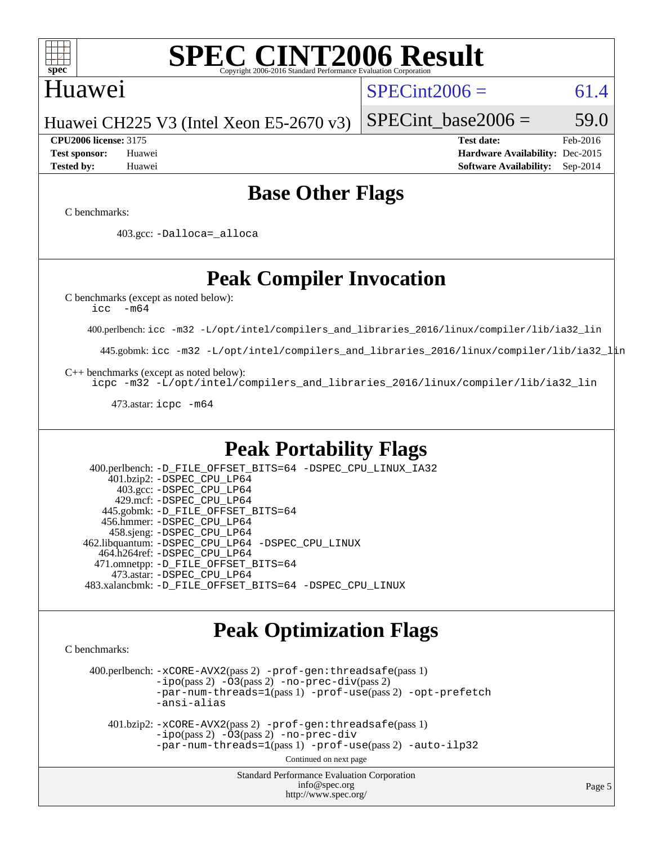

### Huawei

 $SPECint2006 = 61.4$  $SPECint2006 = 61.4$ 

Huawei CH225 V3 (Intel Xeon E5-2670 v3)

**[CPU2006 license:](http://www.spec.org/auto/cpu2006/Docs/result-fields.html#CPU2006license)** 3175 **[Test date:](http://www.spec.org/auto/cpu2006/Docs/result-fields.html#Testdate)** Feb-2016 **[Test sponsor:](http://www.spec.org/auto/cpu2006/Docs/result-fields.html#Testsponsor)** Huawei **[Hardware Availability:](http://www.spec.org/auto/cpu2006/Docs/result-fields.html#HardwareAvailability)** Dec-2015 **[Tested by:](http://www.spec.org/auto/cpu2006/Docs/result-fields.html#Testedby)** Huawei **[Software Availability:](http://www.spec.org/auto/cpu2006/Docs/result-fields.html#SoftwareAvailability)** Sep-2014

SPECint base2006 =  $59.0$ 

# **[Base Other Flags](http://www.spec.org/auto/cpu2006/Docs/result-fields.html#BaseOtherFlags)**

[C benchmarks](http://www.spec.org/auto/cpu2006/Docs/result-fields.html#Cbenchmarks):

403.gcc: [-Dalloca=\\_alloca](http://www.spec.org/cpu2006/results/res2016q1/cpu2006-20160202-38957.flags.html#b403.gcc_baseEXTRA_CFLAGS_Dalloca_be3056838c12de2578596ca5467af7f3)

# **[Peak Compiler Invocation](http://www.spec.org/auto/cpu2006/Docs/result-fields.html#PeakCompilerInvocation)**

[C benchmarks \(except as noted below\)](http://www.spec.org/auto/cpu2006/Docs/result-fields.html#Cbenchmarksexceptasnotedbelow):

[icc -m64](http://www.spec.org/cpu2006/results/res2016q1/cpu2006-20160202-38957.flags.html#user_CCpeak_intel_icc_64bit_f346026e86af2a669e726fe758c88044)

400.perlbench: [icc -m32 -L/opt/intel/compilers\\_and\\_libraries\\_2016/linux/compiler/lib/ia32\\_lin](http://www.spec.org/cpu2006/results/res2016q1/cpu2006-20160202-38957.flags.html#user_peakCCLD400_perlbench_intel_icc_e10256ba5924b668798078a321b0cb3f)

445.gobmk: [icc -m32 -L/opt/intel/compilers\\_and\\_libraries\\_2016/linux/compiler/lib/ia32\\_lin](http://www.spec.org/cpu2006/results/res2016q1/cpu2006-20160202-38957.flags.html#user_peakCCLD445_gobmk_intel_icc_e10256ba5924b668798078a321b0cb3f)

[C++ benchmarks \(except as noted below\):](http://www.spec.org/auto/cpu2006/Docs/result-fields.html#CXXbenchmarksexceptasnotedbelow)

[icpc -m32 -L/opt/intel/compilers\\_and\\_libraries\\_2016/linux/compiler/lib/ia32\\_lin](http://www.spec.org/cpu2006/results/res2016q1/cpu2006-20160202-38957.flags.html#user_CXXpeak_intel_icpc_b4f50a394bdb4597aa5879c16bc3f5c5)

473.astar: [icpc -m64](http://www.spec.org/cpu2006/results/res2016q1/cpu2006-20160202-38957.flags.html#user_peakCXXLD473_astar_intel_icpc_64bit_fc66a5337ce925472a5c54ad6a0de310)

### **[Peak Portability Flags](http://www.spec.org/auto/cpu2006/Docs/result-fields.html#PeakPortabilityFlags)**

 400.perlbench: [-D\\_FILE\\_OFFSET\\_BITS=64](http://www.spec.org/cpu2006/results/res2016q1/cpu2006-20160202-38957.flags.html#user_peakPORTABILITY400_perlbench_file_offset_bits_64_438cf9856305ebd76870a2c6dc2689ab) [-DSPEC\\_CPU\\_LINUX\\_IA32](http://www.spec.org/cpu2006/results/res2016q1/cpu2006-20160202-38957.flags.html#b400.perlbench_peakCPORTABILITY_DSPEC_CPU_LINUX_IA32) 401.bzip2: [-DSPEC\\_CPU\\_LP64](http://www.spec.org/cpu2006/results/res2016q1/cpu2006-20160202-38957.flags.html#suite_peakPORTABILITY401_bzip2_DSPEC_CPU_LP64) 403.gcc: [-DSPEC\\_CPU\\_LP64](http://www.spec.org/cpu2006/results/res2016q1/cpu2006-20160202-38957.flags.html#suite_peakPORTABILITY403_gcc_DSPEC_CPU_LP64) 429.mcf: [-DSPEC\\_CPU\\_LP64](http://www.spec.org/cpu2006/results/res2016q1/cpu2006-20160202-38957.flags.html#suite_peakPORTABILITY429_mcf_DSPEC_CPU_LP64) 445.gobmk: [-D\\_FILE\\_OFFSET\\_BITS=64](http://www.spec.org/cpu2006/results/res2016q1/cpu2006-20160202-38957.flags.html#user_peakPORTABILITY445_gobmk_file_offset_bits_64_438cf9856305ebd76870a2c6dc2689ab) 456.hmmer: [-DSPEC\\_CPU\\_LP64](http://www.spec.org/cpu2006/results/res2016q1/cpu2006-20160202-38957.flags.html#suite_peakPORTABILITY456_hmmer_DSPEC_CPU_LP64) 458.sjeng: [-DSPEC\\_CPU\\_LP64](http://www.spec.org/cpu2006/results/res2016q1/cpu2006-20160202-38957.flags.html#suite_peakPORTABILITY458_sjeng_DSPEC_CPU_LP64) 462.libquantum: [-DSPEC\\_CPU\\_LP64](http://www.spec.org/cpu2006/results/res2016q1/cpu2006-20160202-38957.flags.html#suite_peakPORTABILITY462_libquantum_DSPEC_CPU_LP64) [-DSPEC\\_CPU\\_LINUX](http://www.spec.org/cpu2006/results/res2016q1/cpu2006-20160202-38957.flags.html#b462.libquantum_peakCPORTABILITY_DSPEC_CPU_LINUX) 464.h264ref: [-DSPEC\\_CPU\\_LP64](http://www.spec.org/cpu2006/results/res2016q1/cpu2006-20160202-38957.flags.html#suite_peakPORTABILITY464_h264ref_DSPEC_CPU_LP64) 471.omnetpp: [-D\\_FILE\\_OFFSET\\_BITS=64](http://www.spec.org/cpu2006/results/res2016q1/cpu2006-20160202-38957.flags.html#user_peakPORTABILITY471_omnetpp_file_offset_bits_64_438cf9856305ebd76870a2c6dc2689ab) 473.astar: [-DSPEC\\_CPU\\_LP64](http://www.spec.org/cpu2006/results/res2016q1/cpu2006-20160202-38957.flags.html#suite_peakPORTABILITY473_astar_DSPEC_CPU_LP64) 483.xalancbmk: [-D\\_FILE\\_OFFSET\\_BITS=64](http://www.spec.org/cpu2006/results/res2016q1/cpu2006-20160202-38957.flags.html#user_peakPORTABILITY483_xalancbmk_file_offset_bits_64_438cf9856305ebd76870a2c6dc2689ab) [-DSPEC\\_CPU\\_LINUX](http://www.spec.org/cpu2006/results/res2016q1/cpu2006-20160202-38957.flags.html#b483.xalancbmk_peakCXXPORTABILITY_DSPEC_CPU_LINUX)

### **[Peak Optimization Flags](http://www.spec.org/auto/cpu2006/Docs/result-fields.html#PeakOptimizationFlags)**

[C benchmarks](http://www.spec.org/auto/cpu2006/Docs/result-fields.html#Cbenchmarks):

 400.perlbench: [-xCORE-AVX2](http://www.spec.org/cpu2006/results/res2016q1/cpu2006-20160202-38957.flags.html#user_peakPASS2_CFLAGSPASS2_LDCFLAGS400_perlbench_f-xAVX2_5f5fc0cbe2c9f62c816d3e45806c70d7)(pass 2) [-prof-gen:threadsafe](http://www.spec.org/cpu2006/results/res2016q1/cpu2006-20160202-38957.flags.html#user_peakPASS1_CFLAGSPASS1_LDCFLAGS400_perlbench_prof_gen_21a26eb79f378b550acd7bec9fe4467a)(pass 1)  $-i\text{po}(pass 2) -\tilde{O}3(pass 2)$  [-no-prec-div](http://www.spec.org/cpu2006/results/res2016q1/cpu2006-20160202-38957.flags.html#user_peakPASS2_CFLAGSPASS2_LDCFLAGS400_perlbench_f-no-prec-div)(pass 2) [-par-num-threads=1](http://www.spec.org/cpu2006/results/res2016q1/cpu2006-20160202-38957.flags.html#user_peakPASS1_CFLAGSPASS1_LDCFLAGS400_perlbench_par_num_threads_786a6ff141b4e9e90432e998842df6c2)(pass 1) [-prof-use](http://www.spec.org/cpu2006/results/res2016q1/cpu2006-20160202-38957.flags.html#user_peakPASS2_CFLAGSPASS2_LDCFLAGS400_perlbench_prof_use_bccf7792157ff70d64e32fe3e1250b55)(pass 2) [-opt-prefetch](http://www.spec.org/cpu2006/results/res2016q1/cpu2006-20160202-38957.flags.html#user_peakCOPTIMIZE400_perlbench_f-opt-prefetch) [-ansi-alias](http://www.spec.org/cpu2006/results/res2016q1/cpu2006-20160202-38957.flags.html#user_peakCOPTIMIZE400_perlbench_f-ansi-alias)

 401.bzip2: [-xCORE-AVX2](http://www.spec.org/cpu2006/results/res2016q1/cpu2006-20160202-38957.flags.html#user_peakPASS2_CFLAGSPASS2_LDCFLAGS401_bzip2_f-xAVX2_5f5fc0cbe2c9f62c816d3e45806c70d7)(pass 2) [-prof-gen:threadsafe](http://www.spec.org/cpu2006/results/res2016q1/cpu2006-20160202-38957.flags.html#user_peakPASS1_CFLAGSPASS1_LDCFLAGS401_bzip2_prof_gen_21a26eb79f378b550acd7bec9fe4467a)(pass 1)  $-ipo(pass 2) -\overline{O}3(pass 2)$  $-ipo(pass 2) -\overline{O}3(pass 2)$  [-no-prec-div](http://www.spec.org/cpu2006/results/res2016q1/cpu2006-20160202-38957.flags.html#user_peakCOPTIMIZEPASS2_CFLAGSPASS2_LDCFLAGS401_bzip2_f-no-prec-div) [-par-num-threads=1](http://www.spec.org/cpu2006/results/res2016q1/cpu2006-20160202-38957.flags.html#user_peakPASS1_CFLAGSPASS1_LDCFLAGS401_bzip2_par_num_threads_786a6ff141b4e9e90432e998842df6c2)(pass 1) [-prof-use](http://www.spec.org/cpu2006/results/res2016q1/cpu2006-20160202-38957.flags.html#user_peakPASS2_CFLAGSPASS2_LDCFLAGS401_bzip2_prof_use_bccf7792157ff70d64e32fe3e1250b55)(pass 2) [-auto-ilp32](http://www.spec.org/cpu2006/results/res2016q1/cpu2006-20160202-38957.flags.html#user_peakCOPTIMIZE401_bzip2_f-auto-ilp32)

Continued on next page

Standard Performance Evaluation Corporation [info@spec.org](mailto:info@spec.org) <http://www.spec.org/>

Page 5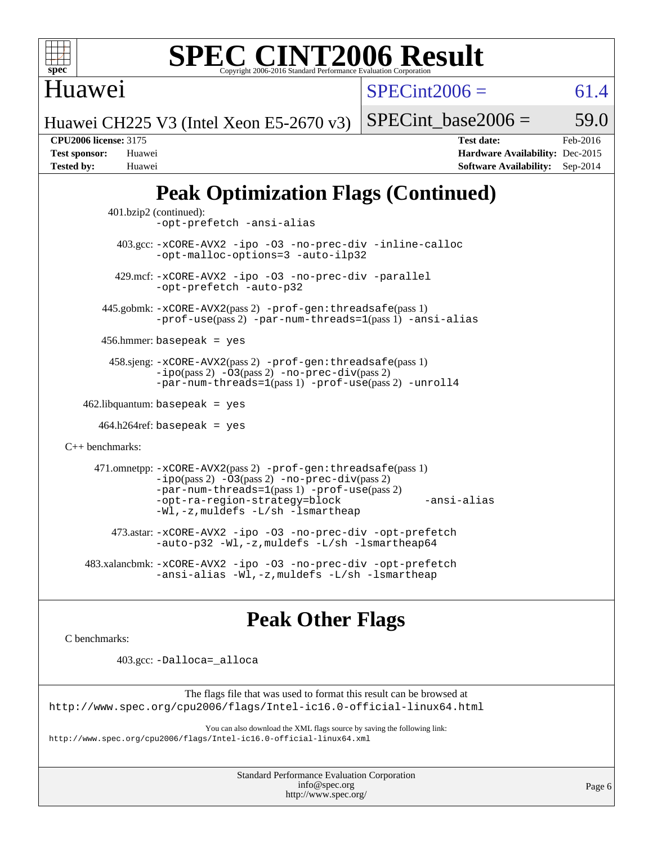

Huawei

 $SPECint2006 = 61.4$  $SPECint2006 = 61.4$ 

Huawei CH225 V3 (Intel Xeon E5-2670 v3)

SPECint base2006 =  $59.0$ 

**[CPU2006 license:](http://www.spec.org/auto/cpu2006/Docs/result-fields.html#CPU2006license)** 3175 **[Test date:](http://www.spec.org/auto/cpu2006/Docs/result-fields.html#Testdate)** Feb-2016 **[Test sponsor:](http://www.spec.org/auto/cpu2006/Docs/result-fields.html#Testsponsor)** Huawei **[Hardware Availability:](http://www.spec.org/auto/cpu2006/Docs/result-fields.html#HardwareAvailability)** Dec-2015 **[Tested by:](http://www.spec.org/auto/cpu2006/Docs/result-fields.html#Testedby)** Huawei **[Software Availability:](http://www.spec.org/auto/cpu2006/Docs/result-fields.html#SoftwareAvailability)** Sep-2014

# **[Peak Optimization Flags \(Continued\)](http://www.spec.org/auto/cpu2006/Docs/result-fields.html#PeakOptimizationFlags)**

```
 401.bzip2 (continued):
                -opt-prefetch -ansi-alias
          403.gcc: -xCORE-AVX2 -ipo -O3 -no-prec-div -inline-calloc
                -opt-malloc-options=3 -auto-ilp32
         429.mcf: -xCORE-AVX2 -ipo -O3 -no-prec-div -parallel
                -opt-prefetch -auto-p32
       445.gobmk: -xCORE-AVX2(pass 2) -prof-gen:threadsafe(pass 1)
                -prof-use(pass 2) -par-num-threads=1(pass 1) -ansi-alias
       456.hmmer: basepeak = yes
        458.sjeng: -xCORE-AVX2(pass 2) -prof-gen:threadsafe(pass 1)
                -i\text{po}(pass 2) -\tilde{O}3(pass 2)-no-prec-div(pass 2)
                -par-num-threads=1(pass 1) -prof-use(pass 2) -unroll4
   462.libquantum: basepeak = yes
     464.h264ref: basepeak = yes
C++ benchmarks: 
      471.omnetpp: -xCORE-AVX2(pass 2) -prof-gen:threadsafe(pass 1)
                -i\text{po}(pass 2) -\overline{O}3(pass 2) -no-prec\text{-div}(pass 2)-par-num-threads=1(pass 1) -prof-use(pass 2)
                -opt-ra-region-strategy=block -ansi-alias
                -Wl,-z,muldefs -L/sh -lsmartheap
         473.astar: -xCORE-AVX2 -ipo -O3 -no-prec-div -opt-prefetch
                -auto-p32 -Wl,-z,muldefs -L/sh -lsmartheap64
    483.xalancbmk: -xCORE-AVX2 -ipo -O3 -no-prec-div -opt-prefetch
                -ansi-alias -Wl,-z,muldefs -L/sh -lsmartheap
```
# **[Peak Other Flags](http://www.spec.org/auto/cpu2006/Docs/result-fields.html#PeakOtherFlags)**

[C benchmarks](http://www.spec.org/auto/cpu2006/Docs/result-fields.html#Cbenchmarks):

403.gcc: [-Dalloca=\\_alloca](http://www.spec.org/cpu2006/results/res2016q1/cpu2006-20160202-38957.flags.html#b403.gcc_peakEXTRA_CFLAGS_Dalloca_be3056838c12de2578596ca5467af7f3)

The flags file that was used to format this result can be browsed at <http://www.spec.org/cpu2006/flags/Intel-ic16.0-official-linux64.html>

You can also download the XML flags source by saving the following link: <http://www.spec.org/cpu2006/flags/Intel-ic16.0-official-linux64.xml>

> Standard Performance Evaluation Corporation [info@spec.org](mailto:info@spec.org) <http://www.spec.org/>